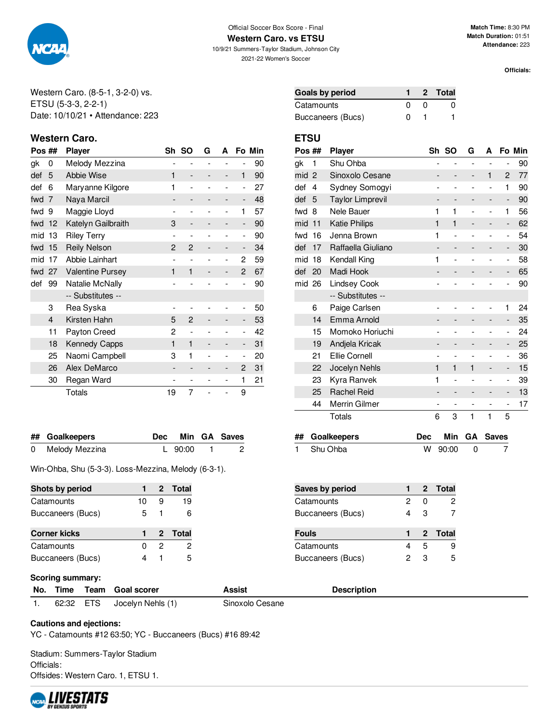

### Official Soccer Box Score - Final **Western Caro. vs ETSU**

10/9/21 Summers-Taylor Stadium, Johnson City 2021-22 Women's Soccer

**Match Time:** 8:30 PM **Match Duration:** 01:51 **Attendance:** 223

**Officials:**

Western Caro. (8-5-1, 3-2-0) vs. ETSU (5-3-3, 2-2-1) Date: 10/10/21 • Attendance: 223

# **Western Caro. ETSU**

| Pos ## |                | <b>Player</b>           | Sh             | <b>SO</b>                    | G | A                        |                | Fo Min |
|--------|----------------|-------------------------|----------------|------------------------------|---|--------------------------|----------------|--------|
| gk     | 0              | Melody Mezzina          |                | $\overline{a}$               |   |                          |                | 90     |
| def    | 5              | <b>Abbie Wise</b>       | 1              | $\qquad \qquad \blacksquare$ |   | -                        | $\mathbf{1}$   | 90     |
| def    | 6              | Maryanne Kilgore        | 1              | $\overline{a}$               |   |                          | $\overline{a}$ | 27     |
| fwd    | 7              | Naya Marcil             |                |                              |   |                          | -              | 48     |
| fwd    | 9              | Maggie Lloyd            |                |                              |   | $\overline{a}$           | 1              | 57     |
| fwd    | 12             | Katelyn Gailbraith      | 3              |                              |   |                          | -              | 90     |
| mid    | 13             | <b>Riley Terry</b>      |                | $\overline{a}$               |   | $\overline{a}$           | -              | 90     |
| fwd 15 |                | <b>Reily Nelson</b>     | $\overline{2}$ | 2                            |   |                          | -              | 34     |
| mid    | 17             | Abbie Lainhart          |                | $\overline{a}$               |   | $\overline{a}$           | 2              | 59     |
| fwd    | 27             | <b>Valentine Pursey</b> | 1              | 1                            |   |                          | 2              | 67     |
| def    | 99             | Natalie McNally         |                |                              |   |                          |                | 90     |
|        |                | -- Substitutes --       |                |                              |   |                          |                |        |
|        | 3              | Rea Syska               |                |                              |   |                          |                | 50     |
|        | $\overline{4}$ | Kirsten Hahn            | 5              | 2                            |   |                          | -              | 53     |
|        | 11             | Payton Creed            | 2              | $\overline{a}$               |   |                          | -              | 42     |
|        | 18             | Kennedy Capps           | 1              | 1                            |   |                          | -              | 31     |
|        | 25             | Naomi Campbell          | 3              | 1                            |   |                          | -              | 20     |
|        | 26             | Alex DeMarco            |                |                              |   |                          | $\overline{c}$ | 31     |
|        | 30             | Regan Ward              | -              | $\overline{a}$               |   | $\overline{\phantom{0}}$ | 1              | 21     |
|        |                | <b>Totals</b>           | 19             | 7                            |   |                          | 9              |        |

| ## Goalkeepers   |             | Dec Min GA Saves |
|------------------|-------------|------------------|
| 0 Melody Mezzina | L $90:00$ 1 | - 2              |

Win-Ohba, Shu (5-3-3). Loss-Mezzina, Melody (6-3-1).

| Shots by period     |    |   | 2 Total |
|---------------------|----|---|---------|
| Catamounts          | 10 |   | 19      |
| Buccaneers (Bucs)   | 5  |   | հ       |
| <b>Corner kicks</b> |    |   | 2 Total |
| Catamounts          |    | 2 | 2       |
| Buccaneers (Bucs)   |    |   |         |

| Goals by period   |              | 2 Total |
|-------------------|--------------|---------|
| Catamounts        | $\mathbf{I}$ |         |
| Buccaneers (Bucs) |              |         |

| Pos ## |                | <b>Player</b>           | Sh                       | <b>SO</b>      | G              | А              |                              | Fo Min |
|--------|----------------|-------------------------|--------------------------|----------------|----------------|----------------|------------------------------|--------|
| gk     | 1              | Shu Ohba                | -                        | $\overline{a}$ | $\overline{a}$ | $\overline{a}$ | $\overline{\phantom{a}}$     | 90     |
| mid    | $\overline{2}$ | Sinoxolo Cesane         | -                        |                |                | 1              | 2                            | 77     |
| def    | 4              | Sydney Somogyi          |                          |                | -              | -              | 1                            | 90     |
| def    | 5              | <b>Taylor Limprevil</b> | $\overline{\phantom{0}}$ |                |                | -              | $\overline{\phantom{m}}$     | 90     |
| fwd    | 8              | Nele Bauer              | 1                        | 1              |                | $\overline{a}$ | 1                            | 56     |
| mid    | 11             | <b>Katie Philips</b>    | 1                        | 1              |                |                | -                            | 62     |
| fwd    | 16             | Jenna Brown             | 1                        |                | ۰              | $\overline{a}$ | $\overline{\phantom{0}}$     | 54     |
| def    | 17             | Raffaella Giuliano      | -                        | -              |                | -              | -                            | 30     |
| mid    | 18             | Kendall King            | 1                        |                |                |                | $\qquad \qquad \blacksquare$ | 58     |
| def    | 20             | Madi Hook               |                          |                |                |                | -                            | 65     |
| mid    | 26             | <b>Lindsey Cook</b>     |                          |                |                |                |                              | 90     |
|        |                | -- Substitutes --       |                          |                |                |                |                              |        |
|        | 6              | Paige Carlsen           | -                        |                |                |                | 1                            | 24     |
|        | 14             | Emma Arnold             |                          |                |                | -              | -                            | 35     |
|        | 15             | Momoko Horiuchi         |                          |                |                |                | $\overline{a}$               | 24     |
|        | 19             | Andjela Kricak          |                          |                |                |                | -                            | 25     |
|        | 21             | Ellie Cornell           | $\overline{a}$           |                | $\overline{a}$ | -              | $\overline{\phantom{0}}$     | 36     |
|        | 22             | Jocelyn Nehls           | 1                        | 1              | 1              | -              | -                            | 15     |
|        | 23             | Kyra Ranvek             | 1                        |                |                | $\overline{a}$ | $\overline{\phantom{0}}$     | 39     |
|        | 25             | <b>Rachel Reid</b>      |                          |                |                |                | -                            | 13     |
|        | 44             | Merrin Gilmer           |                          | -              | -              |                | $\overline{\phantom{0}}$     | 17     |
|        |                | Totals                  | 6                        | 3              | 1              | 1              | 5                            |        |

| ## Goalkeepers |           | Dec Min GA Saves |
|----------------|-----------|------------------|
| 1 Shu Ohba     | W 90:00 0 |                  |

| Saves by period   |   |   | 2 Total |
|-------------------|---|---|---------|
| Catamounts        | 2 | O | 2       |
| Buccaneers (Bucs) | 4 | з |         |
|                   |   |   |         |
|                   |   |   |         |
| <b>Fouls</b>      |   |   | 2 Total |
| Catamounts        | 4 | 5 | 9       |

### **Scoring summary:**

|           | No. Time Team Goal scorer | Assist          | <b>Description</b> |
|-----------|---------------------------|-----------------|--------------------|
| 62:32 ETS | Jocelyn Nehls (1)         | Sinoxolo Cesane |                    |

### **Cautions and ejections:**

YC - Catamounts #12 63:50; YC - Buccaneers (Bucs) #16 89:42

Stadium: Summers-Taylor Stadium Officials: Offsides: Western Caro. 1, ETSU 1.

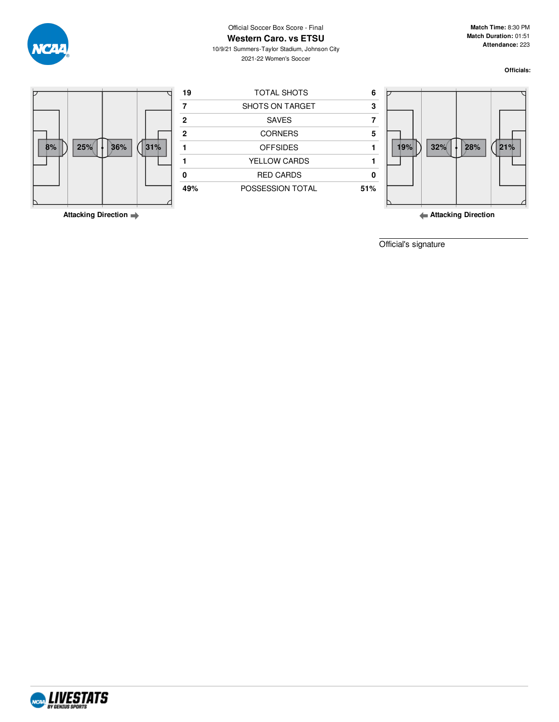

# Official Soccer Box Score - Final

**Western Caro. vs ETSU** 10/9/21 Summers-Taylor Stadium, Johnson City

2021-22 Women's Soccer

**Match Time:** 8:30 PM **Match Duration:** 01:51 **Attendance:** 223

**Officials:**



**Attacking Direction**

**Attacking Direction**

Official's signature

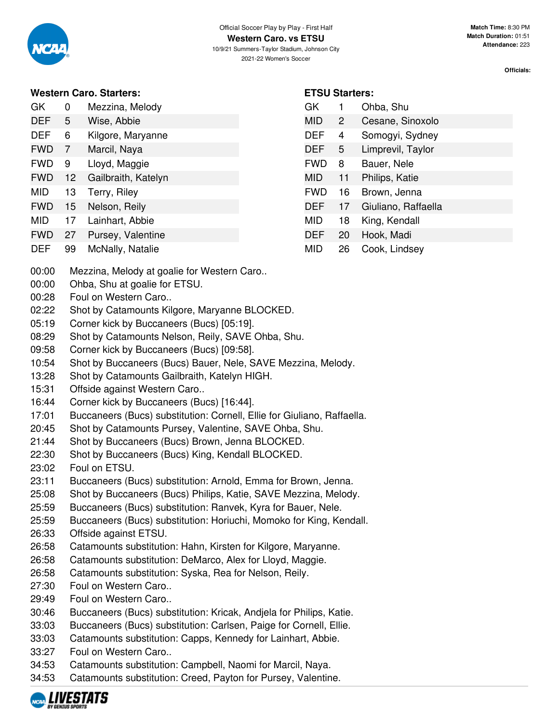

## **Western Caro. Starters:**

| GK | $\Omega$ | Mezzina, Melody |
|----|----------|-----------------|
|    |          |                 |

- DEF 5 Wise, Abbie DEF 6 Kilgore, Maryanne
- FWD 7 Marcil, Naya
- FWD 9 Lloyd, Maggie
- FWD 12 Gailbraith, Katelyn
- MID 13 Terry, Riley
- FWD 15 Nelson, Reily
- MID 17 Lainhart, Abbie
- FWD 27 Pursey, Valentine
- DEF 99 McNally, Natalie
- **ETSU Starters:**
- GK 1 Ohba, Shu MID 2 Cesane, Sinoxolo DEF 4 Somogyi, Sydney DEF 5 Limprevil, Taylor FWD 8 Bauer, Nele MID 11 Philips, Katie FWD 16 Brown, Jenna DEF 17 Giuliano, Raffaella MID 18 King, Kendall DEF 20 Hook, Madi MID 26 Cook, Lindsey
- 00:00 Mezzina, Melody at goalie for Western Caro..
- 00:00 Ohba, Shu at goalie for ETSU.
- 00:28 Foul on Western Caro..
- 02:22 Shot by Catamounts Kilgore, Maryanne BLOCKED.
- 05:19 Corner kick by Buccaneers (Bucs) [05:19].
- 08:29 Shot by Catamounts Nelson, Reily, SAVE Ohba, Shu.
- 09:58 Corner kick by Buccaneers (Bucs) [09:58].
- 10:54 Shot by Buccaneers (Bucs) Bauer, Nele, SAVE Mezzina, Melody.
- 13:28 Shot by Catamounts Gailbraith, Katelyn HIGH.
- 15:31 Offside against Western Caro..
- 16:44 Corner kick by Buccaneers (Bucs) [16:44].
- 17:01 Buccaneers (Bucs) substitution: Cornell, Ellie for Giuliano, Raffaella.
- 20:45 Shot by Catamounts Pursey, Valentine, SAVE Ohba, Shu.
- 21:44 Shot by Buccaneers (Bucs) Brown, Jenna BLOCKED.
- 22:30 Shot by Buccaneers (Bucs) King, Kendall BLOCKED.
- 23:02 Foul on ETSU.
- 23:11 Buccaneers (Bucs) substitution: Arnold, Emma for Brown, Jenna.
- 25:08 Shot by Buccaneers (Bucs) Philips, Katie, SAVE Mezzina, Melody.
- 25:59 Buccaneers (Bucs) substitution: Ranvek, Kyra for Bauer, Nele.
- 25:59 Buccaneers (Bucs) substitution: Horiuchi, Momoko for King, Kendall.
- 26:33 Offside against ETSU.
- 26:58 Catamounts substitution: Hahn, Kirsten for Kilgore, Maryanne.
- 26:58 Catamounts substitution: DeMarco, Alex for Lloyd, Maggie.
- 26:58 Catamounts substitution: Syska, Rea for Nelson, Reily.
- 27:30 Foul on Western Caro..
- 29:49 Foul on Western Caro..
- 30:46 Buccaneers (Bucs) substitution: Kricak, Andjela for Philips, Katie.
- 33:03 Buccaneers (Bucs) substitution: Carlsen, Paige for Cornell, Ellie.
- 33:03 Catamounts substitution: Capps, Kennedy for Lainhart, Abbie.
- 33:27 Foul on Western Caro..
- 34:53 Catamounts substitution: Campbell, Naomi for Marcil, Naya.
- 34:53 Catamounts substitution: Creed, Payton for Pursey, Valentine.

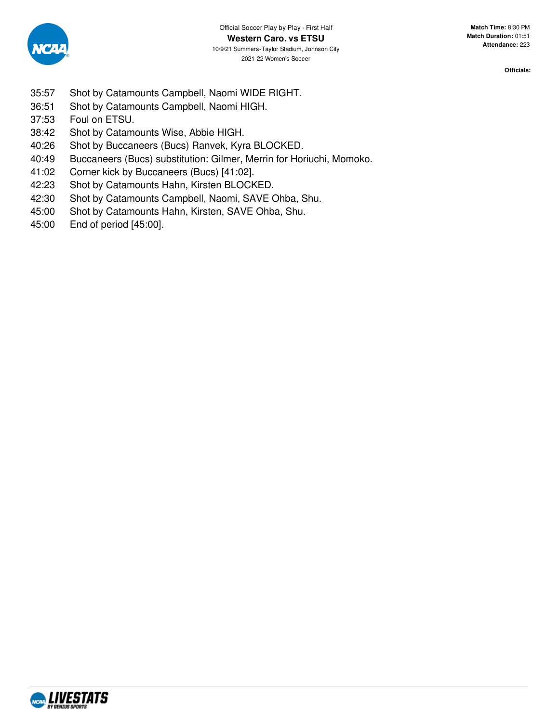

- 35:57 Shot by Catamounts Campbell, Naomi WIDE RIGHT.
- 36:51 Shot by Catamounts Campbell, Naomi HIGH.
- 37:53 Foul on ETSU.
- 38:42 Shot by Catamounts Wise, Abbie HIGH.
- 40:26 Shot by Buccaneers (Bucs) Ranvek, Kyra BLOCKED.
- 40:49 Buccaneers (Bucs) substitution: Gilmer, Merrin for Horiuchi, Momoko.
- 41:02 Corner kick by Buccaneers (Bucs) [41:02].
- 42:23 Shot by Catamounts Hahn, Kirsten BLOCKED.
- 42:30 Shot by Catamounts Campbell, Naomi, SAVE Ohba, Shu.
- 45:00 Shot by Catamounts Hahn, Kirsten, SAVE Ohba, Shu.
- 45:00 End of period [45:00].

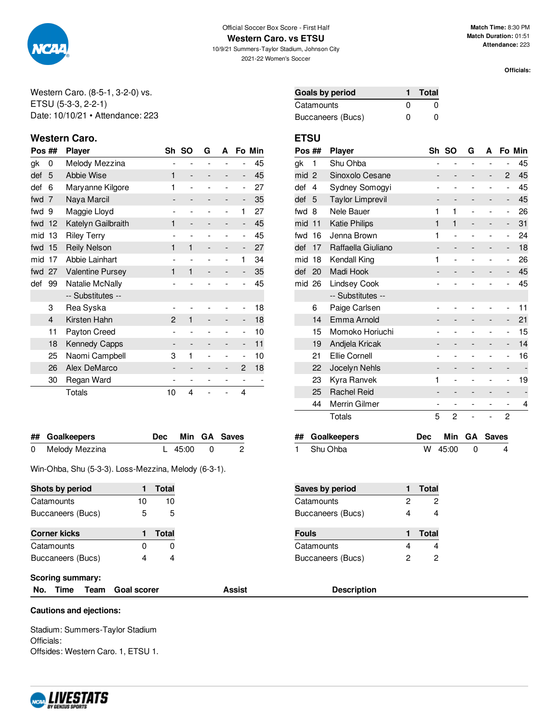

**Western Caro. vs ETSU**

10/9/21 Summers-Taylor Stadium, Johnson City 2021-22 Women's Soccer

**Match Time:** 8:30 PM **Match Duration:** 01:51 **Attendance:** 223

**Officials:**

Western Caro. (8-5-1, 3-2-0) vs. ETSU (5-3-3, 2-2-1) Date: 10/10/21 • Attendance: 223

# **Western Caro. ETSU**

| Pos ## |    | Player                  | Sh             | <b>SO</b>                    | G | A              |                          | Fo Min |
|--------|----|-------------------------|----------------|------------------------------|---|----------------|--------------------------|--------|
| gk     | 0  | Melody Mezzina          |                | -                            |   |                |                          | 45     |
| def    | 5  | Abbie Wise              | 1              | $\overline{\phantom{0}}$     |   |                | $\overline{\phantom{0}}$ | 45     |
| def    | 6  | Maryanne Kilgore        | 1              | $\overline{a}$               |   |                | $\overline{a}$           | 27     |
| fwd    | 7  | Naya Marcil             |                |                              |   |                | -                        | 35     |
| fwd    | 9  | Maggie Lloyd            |                |                              |   |                | 1                        | 27     |
| fwd    | 12 | Katelyn Gailbraith      | 1              | $\qquad \qquad \blacksquare$ |   |                | -                        | 45     |
| mid    | 13 | <b>Riley Terry</b>      |                | $\overline{a}$               |   | $\overline{a}$ | $\overline{a}$           | 45     |
| fwd    | 15 | <b>Reily Nelson</b>     | 1              | 1                            |   |                | -                        | 27     |
| mid    | 17 | Abbie Lainhart          |                |                              |   |                | 1                        | 34     |
| fwd 27 |    | <b>Valentine Pursey</b> | 1              | 1                            |   |                |                          | 35     |
| def    | 99 | Natalie McNally         |                |                              |   |                |                          | 45     |
|        |    | -- Substitutes --       |                |                              |   |                |                          |        |
|        | 3  | Rea Syska               |                |                              |   |                |                          | 18     |
|        | 4  | Kirsten Hahn            | $\mathfrak{p}$ | 1                            |   |                |                          | 18     |
|        | 11 | Payton Creed            |                |                              |   |                | -                        | 10     |
|        | 18 | Kennedy Capps           |                |                              |   |                | -                        | 11     |
|        | 25 | Naomi Campbell          | 3              | 1                            |   |                | -                        | 10     |
|        | 26 | Alex DeMarco            |                |                              |   |                | 2                        | 18     |
|        | 30 | Regan Ward              |                |                              |   |                |                          |        |
|        |    | Totals                  | 10             | 4                            |   |                | 4                        |        |

| ## Goalkeepers   |           | Dec Min GA Saves           |
|------------------|-----------|----------------------------|
| 0 Melody Mezzina | L 45:00 0 | $\overline{\phantom{0}}$ 2 |

Win-Ohba, Shu (5-3-3). Loss-Mezzina, Melody (6-3-1).

| Shots by period     |    | Total        |
|---------------------|----|--------------|
| Catamounts          | 10 | 10           |
| Buccaneers (Bucs)   | 5  | 5            |
|                     |    |              |
|                     |    |              |
| <b>Corner kicks</b> |    | <b>Total</b> |
| Catamounts          | O  | O            |

| <b>Goals by period</b> |   | Total    |
|------------------------|---|----------|
| Catamounts             | O | $\Omega$ |
| Buccaneers (Bucs)      | ŋ | $\Omega$ |

| Pos ## |                | <b>Player</b>           |                              | Sh SO          | G              | A              |                              | Fo Min |
|--------|----------------|-------------------------|------------------------------|----------------|----------------|----------------|------------------------------|--------|
| gk     | 1              | Shu Ohba                | $\overline{a}$               | $\overline{a}$ | $\overline{a}$ | $\overline{a}$ | $\overline{\phantom{0}}$     | 45     |
| mid    | $\overline{2}$ | Sinoxolo Cesane         |                              |                |                | -              | 2                            | 45     |
| def    | 4              | Sydney Somogyi          |                              |                |                | -              | $\qquad \qquad \blacksquare$ | 45     |
| def    | 5              | <b>Taylor Limprevil</b> |                              |                |                |                | -                            | 45     |
| fwd    | 8              | Nele Bauer              | 1                            | 1              |                |                | $\overline{a}$               | 26     |
| mid    | 11             | <b>Katie Philips</b>    | 1                            | 1              |                |                | -                            | 31     |
| fwd    | 16             | Jenna Brown             | 1                            |                |                |                | -                            | 24     |
| def    | 17             | Raffaella Giuliano      |                              | -              |                |                | -                            | 18     |
| mid    | 18             | Kendall King            | 1                            |                |                |                | -                            | 26     |
| def    | 20             | Madi Hook               |                              |                |                |                |                              | 45     |
| mid 26 |                | Lindsey Cook            |                              |                |                |                | $\overline{a}$               | 45     |
|        |                | -- Substitutes --       |                              |                |                |                |                              |        |
|        | 6              | Paige Carlsen           | $\overline{a}$               |                |                |                | -                            | 11     |
|        | 14             | Emma Arnold             |                              |                |                |                | -                            | 21     |
|        | 15             | Momoko Horiuchi         |                              |                |                |                | $\overline{a}$               | 15     |
|        | 19             | Andjela Kricak          |                              |                |                | -              | -                            | 14     |
|        | 21             | Ellie Cornell           |                              |                |                |                | -                            | 16     |
|        | 22             | Jocelyn Nehls           |                              |                |                | -              | -                            |        |
|        | 23             | Kyra Ranvek             | 1                            |                |                |                | -                            | 19     |
|        | 25             | <b>Rachel Reid</b>      | $\qquad \qquad \blacksquare$ |                |                | -              | -                            |        |
|        | 44             | Merrin Gilmer           | -                            | -              |                |                | -                            | 4      |
|        |                | Totals                  | 5                            | 2              |                |                | 2                            |        |

| ## Goalkeepers |             | Dec Min GA Saves |
|----------------|-------------|------------------|
| 1 Shu Ohba     | $W$ 45:00 0 |                  |

| Saves by period   |   | Total |
|-------------------|---|-------|
| Catamounts        | 2 | 2     |
| Buccaneers (Bucs) | Δ |       |
|                   |   |       |
| <b>Fouls</b>      |   | Total |
| Catamounts        |   |       |

### **Scoring summary:**

| No. Time Team Goal sco |  |
|------------------------|--|
|------------------------|--|

# **No. 8 Issued Exception Constructer Constructed Assist Description**

### **Cautions and ejections:**

Stadium: Summers-Taylor Stadium Officials: Offsides: Western Caro. 1, ETSU 1.

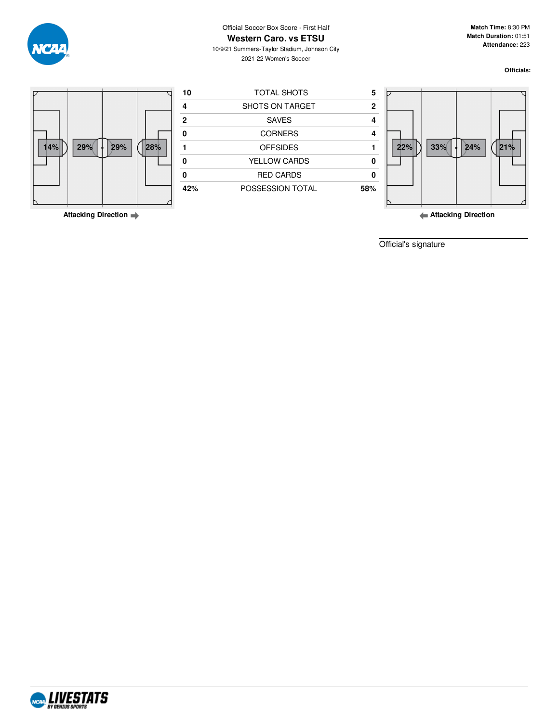

Official Soccer Box Score - First Half **Western Caro. vs ETSU**

10/9/21 Summers-Taylor Stadium, Johnson City 2021-22 Women's Soccer

**Match Time:** 8:30 PM **Match Duration:** 01:51 **Attendance:** 223

**Officials:**



**Attacking Direction**

**Attacking Direction**

Official's signature

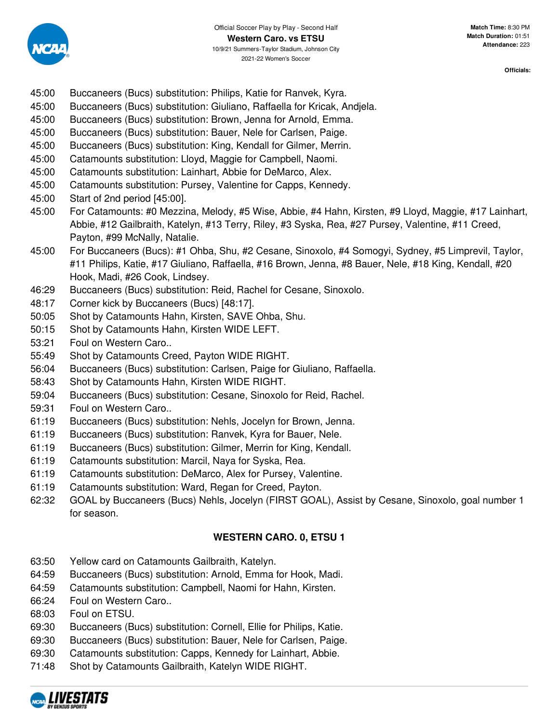

- 45:00 Buccaneers (Bucs) substitution: Philips, Katie for Ranvek, Kyra.
- 45:00 Buccaneers (Bucs) substitution: Giuliano, Raffaella for Kricak, Andjela.
- 45:00 Buccaneers (Bucs) substitution: Brown, Jenna for Arnold, Emma.
- 45:00 Buccaneers (Bucs) substitution: Bauer, Nele for Carlsen, Paige.
- 45:00 Buccaneers (Bucs) substitution: King, Kendall for Gilmer, Merrin.
- 45:00 Catamounts substitution: Lloyd, Maggie for Campbell, Naomi.
- 45:00 Catamounts substitution: Lainhart, Abbie for DeMarco, Alex.
- 45:00 Catamounts substitution: Pursey, Valentine for Capps, Kennedy.
- 45:00 Start of 2nd period [45:00].
- 45:00 For Catamounts: #0 Mezzina, Melody, #5 Wise, Abbie, #4 Hahn, Kirsten, #9 Lloyd, Maggie, #17 Lainhart, Abbie, #12 Gailbraith, Katelyn, #13 Terry, Riley, #3 Syska, Rea, #27 Pursey, Valentine, #11 Creed, Payton, #99 McNally, Natalie.
- 45:00 For Buccaneers (Bucs): #1 Ohba, Shu, #2 Cesane, Sinoxolo, #4 Somogyi, Sydney, #5 Limprevil, Taylor, #11 Philips, Katie, #17 Giuliano, Raffaella, #16 Brown, Jenna, #8 Bauer, Nele, #18 King, Kendall, #20 Hook, Madi, #26 Cook, Lindsey.
- 46:29 Buccaneers (Bucs) substitution: Reid, Rachel for Cesane, Sinoxolo.
- 48:17 Corner kick by Buccaneers (Bucs) [48:17].
- 50:05 Shot by Catamounts Hahn, Kirsten, SAVE Ohba, Shu.
- 50:15 Shot by Catamounts Hahn, Kirsten WIDE LEFT.
- 53:21 Foul on Western Caro..
- 55:49 Shot by Catamounts Creed, Payton WIDE RIGHT.
- 56:04 Buccaneers (Bucs) substitution: Carlsen, Paige for Giuliano, Raffaella.
- 58:43 Shot by Catamounts Hahn, Kirsten WIDE RIGHT.
- 59:04 Buccaneers (Bucs) substitution: Cesane, Sinoxolo for Reid, Rachel.
- 59:31 Foul on Western Caro..
- 61:19 Buccaneers (Bucs) substitution: Nehls, Jocelyn for Brown, Jenna.
- 61:19 Buccaneers (Bucs) substitution: Ranvek, Kyra for Bauer, Nele.
- 61:19 Buccaneers (Bucs) substitution: Gilmer, Merrin for King, Kendall.
- 61:19 Catamounts substitution: Marcil, Naya for Syska, Rea.
- 61:19 Catamounts substitution: DeMarco, Alex for Pursey, Valentine.
- 61:19 Catamounts substitution: Ward, Regan for Creed, Payton.
- 62:32 GOAL by Buccaneers (Bucs) Nehls, Jocelyn (FIRST GOAL), Assist by Cesane, Sinoxolo, goal number 1 for season.

# **WESTERN CARO. 0, ETSU 1**

- 63:50 Yellow card on Catamounts Gailbraith, Katelyn.
- 64:59 Buccaneers (Bucs) substitution: Arnold, Emma for Hook, Madi.
- 64:59 Catamounts substitution: Campbell, Naomi for Hahn, Kirsten.
- 66:24 Foul on Western Caro..
- 68:03 Foul on ETSU.
- 69:30 Buccaneers (Bucs) substitution: Cornell, Ellie for Philips, Katie.
- 69:30 Buccaneers (Bucs) substitution: Bauer, Nele for Carlsen, Paige.
- 69:30 Catamounts substitution: Capps, Kennedy for Lainhart, Abbie.
- 71:48 Shot by Catamounts Gailbraith, Katelyn WIDE RIGHT.

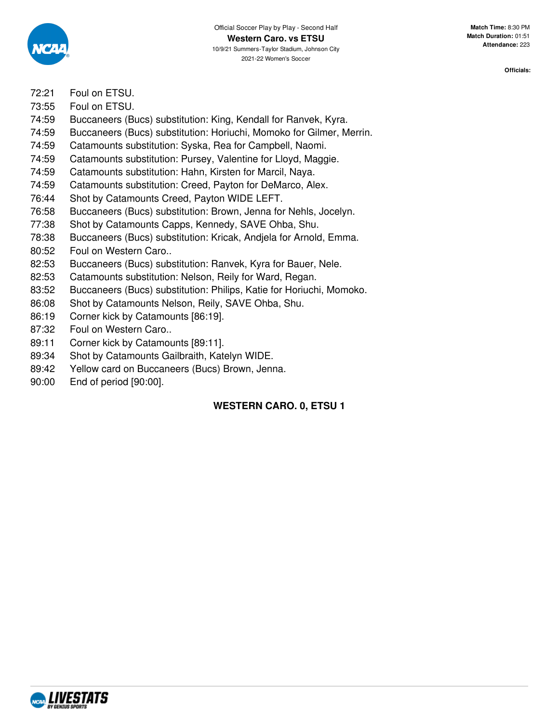

- 72:21 Foul on ETSU.
- 73:55 Foul on ETSU.
- 74:59 Buccaneers (Bucs) substitution: King, Kendall for Ranvek, Kyra.
- 74:59 Buccaneers (Bucs) substitution: Horiuchi, Momoko for Gilmer, Merrin.
- 74:59 Catamounts substitution: Syska, Rea for Campbell, Naomi.
- 74:59 Catamounts substitution: Pursey, Valentine for Lloyd, Maggie.
- 74:59 Catamounts substitution: Hahn, Kirsten for Marcil, Naya.
- 74:59 Catamounts substitution: Creed, Payton for DeMarco, Alex.
- 76:44 Shot by Catamounts Creed, Payton WIDE LEFT.
- 76:58 Buccaneers (Bucs) substitution: Brown, Jenna for Nehls, Jocelyn.
- 77:38 Shot by Catamounts Capps, Kennedy, SAVE Ohba, Shu.
- 78:38 Buccaneers (Bucs) substitution: Kricak, Andjela for Arnold, Emma.
- 80:52 Foul on Western Caro..
- 82:53 Buccaneers (Bucs) substitution: Ranvek, Kyra for Bauer, Nele.
- 82:53 Catamounts substitution: Nelson, Reily for Ward, Regan.
- 83:52 Buccaneers (Bucs) substitution: Philips, Katie for Horiuchi, Momoko.
- 86:08 Shot by Catamounts Nelson, Reily, SAVE Ohba, Shu.
- 86:19 Corner kick by Catamounts [86:19].
- 87:32 Foul on Western Caro..
- 89:11 Corner kick by Catamounts [89:11].
- 89:34 Shot by Catamounts Gailbraith, Katelyn WIDE.
- 89:42 Yellow card on Buccaneers (Bucs) Brown, Jenna.
- 90:00 End of period [90:00].

# **WESTERN CARO. 0, ETSU 1**

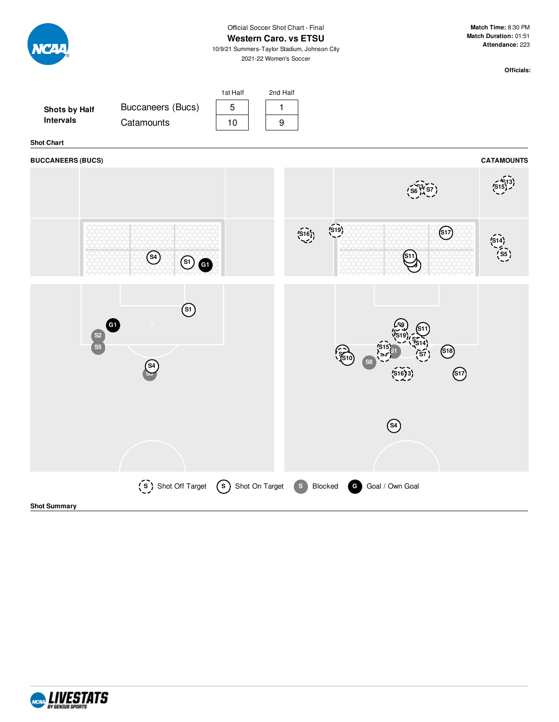|                                          |                                                                      | Official Soccer Shot Chart - Final<br><b>Western Caro. vs ETSU</b><br>10/9/21 Summers-Taylor Stadium, Johnson City<br>2021-22 Women's Soccer |       |               | Match Time: 8:30 PM<br>Match Duration: 01:51<br>Attendance: 223 |                   |
|------------------------------------------|----------------------------------------------------------------------|----------------------------------------------------------------------------------------------------------------------------------------------|-------|---------------|-----------------------------------------------------------------|-------------------|
|                                          |                                                                      |                                                                                                                                              |       |               |                                                                 | Officials:        |
| Shots by Half<br>Intervals               | Buccaneers (Bucs)<br>Catamounts                                      | 1st Half<br>2nd Half<br>5<br>1<br>$\boldsymbol{9}$<br>10                                                                                     |       |               |                                                                 |                   |
| <b>Shot Chart</b>                        |                                                                      |                                                                                                                                              |       |               |                                                                 |                   |
| <b>BUCCANEERS (BUCS)</b>                 |                                                                      |                                                                                                                                              |       |               |                                                                 | <b>CATAMOUNTS</b> |
|                                          |                                                                      |                                                                                                                                              |       |               |                                                                 |                   |
|                                          | $\circled{s}$<br>$\circledcirc$                                      |                                                                                                                                              | (519) | S11           | $\circled{s_1}$                                                 |                   |
| $\begin{bmatrix} 52 \\ 55 \end{bmatrix}$ | $\circled{\scriptstyle \mathrm{(s)}}$<br>G1<br>$\left($ S4           |                                                                                                                                              |       |               | $\bigcirc$<br>$\bigcirc$                                        |                   |
|                                          |                                                                      |                                                                                                                                              |       | $\circled{s}$ |                                                                 |                   |
| <b>Shot Summary</b>                      | (S) Shot Off Target (S) Shot On Target (S) Blocked G Goal / Own Goal |                                                                                                                                              |       |               |                                                                 |                   |